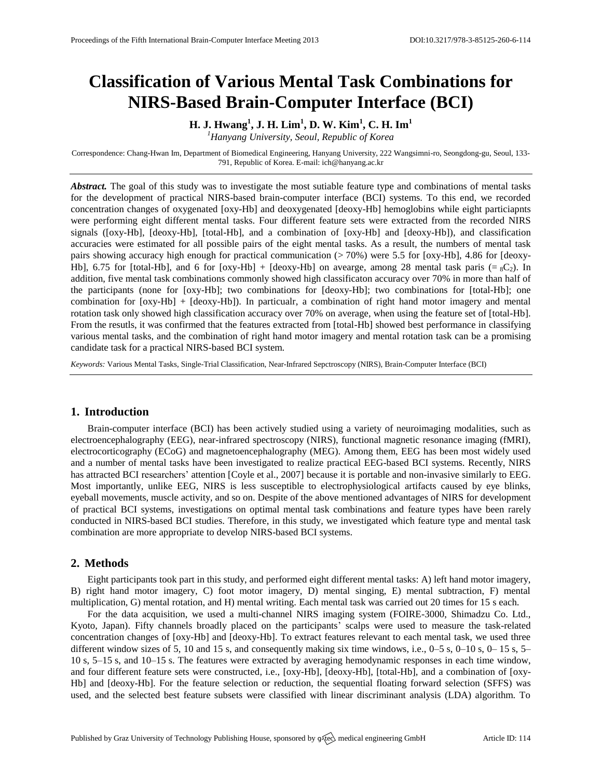# **Classification of Various Mental Task Combinations for NIRS-Based Brain-Computer Interface (BCI)**

**H. J. Hwang<sup>1</sup> , J. H. Lim<sup>1</sup> , D. W. Kim<sup>1</sup> , C. H. Im<sup>1</sup>**

*<sup>1</sup>Hanyang University, Seoul, Republic of Korea*

Correspondence: Chang-Hwan Im, Department of Biomedical Engineering, Hanyang University, 222 Wangsimni-ro, Seongdong-gu, Seoul, 133- 791, Republic of Korea. E-mail[: ich@hanyang.ac.kr](mailto:corresponding.author@address.com)

*Abstract.* The goal of this study was to investigate the most sutiable feature type and combinations of mental tasks for the development of practical NIRS-based brain-computer interface (BCI) systems. To this end, we recorded concentration changes of oxygenated [oxy-Hb] and deoxygenated [deoxy-Hb] hemoglobins while eight particiapnts were performing eight different mental tasks. Four different feature sets were extracted from the recorded NIRS signals ([oxy-Hb], [deoxy-Hb], [total-Hb], and a combination of [oxy-Hb] and [deoxy-Hb]), and classification accuracies were estimated for all possible pairs of the eight mental tasks. As a result, the numbers of mental task pairs showing accuracy high enough for practical communication (> 70%) were 5.5 for [oxy-Hb], 4.86 for [deoxy-Hb], 6.75 for [total-Hb], and 6 for  $\lfloor \text{oxy-Hb} \rfloor + \lfloor \text{deoxy-Hb} \rfloor$  on avearge, among 28 mental task paris (=  ${}_{8}C_{2}$ ). In addition, five mental task combinations commonly showed high classificaton accuracy over 70% in more than half of the participants (none for [oxy-Hb]; two combinations for [deoxy-Hb]; two combinations for [total-Hb]; one combination for [oxy-Hb] + [deoxy-Hb]). In particualr, a combination of right hand motor imagery and mental rotation task only showed high classification accuracy over 70% on average, when using the feature set of [total-Hb]. From the resutls, it was confirmed that the features extracted from [total-Hb] showed best performance in classifying various mental tasks, and the combination of right hand motor imagery and mental rotation task can be a promising candidate task for a practical NIRS-based BCI system.

*Keywords:* Various Mental Tasks, Single-Trial Classification, Near-Infrared Sepctroscopy (NIRS), Brain-Computer Interface (BCI)

# **1. Introduction**

Brain-computer interface (BCI) has been actively studied using a variety of neuroimaging modalities, such as electroencephalography (EEG), near-infrared spectroscopy (NIRS), functional magnetic resonance imaging (fMRI), electrocorticography (ECoG) and magnetoencephalography (MEG). Among them, EEG has been most widely used and a number of mental tasks have been investigated to realize practical EEG-based BCI systems. Recently, NIRS has attracted BCI researchers' attention [Coyle et al., 2007] because it is portable and non-invasive similarly to EEG. Most importantly, unlike EEG, NIRS is less susceptible to electrophysiological artifacts caused by eye blinks, eyeball movements, muscle activity, and so on. Despite of the above mentioned advantages of NIRS for development of practical BCI systems, investigations on optimal mental task combinations and feature types have been rarely conducted in NIRS-based BCI studies. Therefore, in this study, we investigated which feature type and mental task combination are more appropriate to develop NIRS-based BCI systems.

# **2. Methods**

Eight participants took part in this study, and performed eight different mental tasks: A) left hand motor imagery, B) right hand motor imagery, C) foot motor imagery, D) mental singing, E) mental subtraction, F) mental multiplication, G) mental rotation, and H) mental writing. Each mental task was carried out 20 times for 15 s each.

For the data acquisition, we used a multi-channel NIRS imaging system (FOIRE-3000, Shimadzu Co. Ltd., Kyoto, Japan). Fifty channels broadly placed on the participants' scalps were used to measure the task-related concentration changes of [oxy-Hb] and [deoxy-Hb]. To extract features relevant to each mental task, we used three different window sizes of 5, 10 and 15 s, and consequently making six time windows, i.e., 0–5 s, 0–10 s, 0– 15 s, 5– 10 s, 5–15 s, and 10–15 s. The features were extracted by averaging hemodynamic responses in each time window, and four different feature sets were constructed, i.e., [oxy-Hb], [deoxy-Hb], [total-Hb], and a combination of [oxy-Hb] and [deoxy-Hb]. For the feature selection or reduction, the sequential floating forward selection (SFFS) was used, and the selected best feature subsets were classified with linear discriminant analysis (LDA) algorithm. To